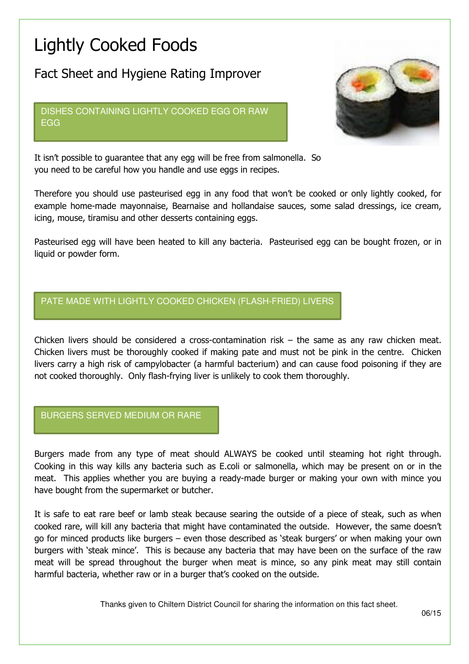# Lightly Cooked Foods

Fact Sheet and Hygiene Rating Improver

DISHES CONTAINING LIGHTLY COOKED EGG OR RAW EGG



It isn't possible to guarantee that any egg will be free from salmonella. So you need to be careful how you handle and use eggs in recipes.

Therefore you should use pasteurised egg in any food that won't be cooked or only lightly cooked, for example home-made mayonnaise, Bearnaise and hollandaise sauces, some salad dressings, ice cream, icing, mouse, tiramisu and other desserts containing eggs.

Pasteurised egg will have been heated to kill any bacteria. Pasteurised egg can be bought frozen, or in liquid or powder form.

# PATE MADE WITH LIGHTLY COOKED CHICKEN (FLASH-FRIED) LIVERS

Chicken livers should be considered a cross-contamination risk – the same as any raw chicken meat. Chicken livers must be thoroughly cooked if making pate and must not be pink in the centre. Chicken livers carry a high risk of campylobacter (a harmful bacterium) and can cause food poisoning if they are not cooked thoroughly. Only flash-frying liver is unlikely to cook them thoroughly.

#### BURGERS SERVED MEDIUM OR RARE

Burgers made from any type of meat should ALWAYS be cooked until steaming hot right through. Cooking in this way kills any bacteria such as E.coli or salmonella, which may be present on or in the meat. This applies whether you are buying a ready-made burger or making your own with mince you have bought from the supermarket or butcher.

It is safe to eat rare beef or lamb steak because searing the outside of a piece of steak, such as when cooked rare, will kill any bacteria that might have contaminated the outside. However, the same doesn't go for minced products like burgers – even those described as 'steak burgers' or when making your own burgers with 'steak mince'. This is because any bacteria that may have been on the surface of the raw meat will be spread throughout the burger when meat is mince, so any pink meat may still contain harmful bacteria, whether raw or in a burger that's cooked on the outside.

Thanks given to Chiltern District Council for sharing the information on this fact sheet.